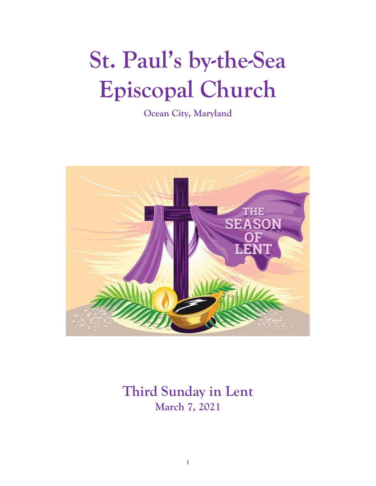# **St. Paul's by-the-Sea Episcopal Church**

**Ocean City, Maryland**



## **Third Sunday in Lent March 7, 2021**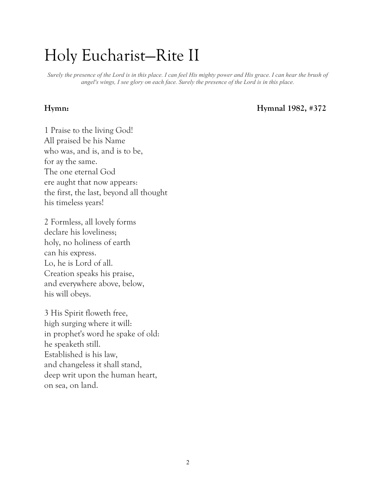## Holy Eucharist—Rite II

*Surely the presence of the Lord is in this place. I can feel His mighty power and His grace. I can hear the brush of angel's wings, I see glory on each face. Surely the presence of the Lord is in this place.*

#### **Hymn: Hymnal 1982, #372**

1 Praise to the living God! All praised be his Name who was, and is, and is to be, for ay the same. The one eternal God ere aught that now appears: the first, the last, beyond all thought his timeless years!

2 Formless, all lovely forms declare his loveliness; holy, no holiness of earth can his express. Lo, he is Lord of all. Creation speaks his praise, and everywhere above, below, his will obeys.

3 His Spirit floweth free, high surging where it will: in prophet's word he spake of old: he speaketh still. Established is his law, and changeless it shall stand, deep writ upon the human heart, on sea, on land.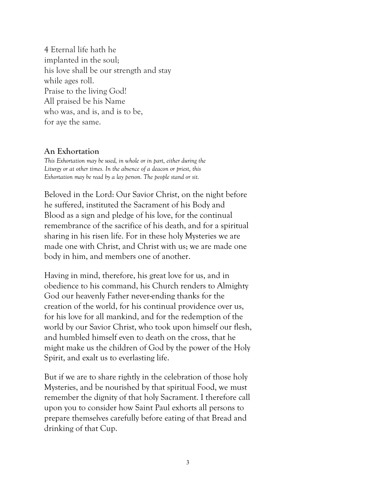4 Eternal life hath he implanted in the soul; his love shall be our strength and stay while ages roll. Praise to the living God! All praised be his Name who was, and is, and is to be, for aye the same.

#### **An Exhortation**

*This Exhortation may be used, in whole or in part, either during the Liturgy or at other times. In the absence of a deacon or priest, this Exhortation may be read by a lay person. The people stand or sit.*

Beloved in the Lord: Our Savior Christ, on the night before he suffered, instituted the Sacrament of his Body and Blood as a sign and pledge of his love, for the continual remembrance of the sacrifice of his death, and for a spiritual sharing in his risen life. For in these holy Mysteries we are made one with Christ, and Christ with us; we are made one body in him, and members one of another.

Having in mind, therefore, his great love for us, and in obedience to his command, his Church renders to Almighty God our heavenly Father never-ending thanks for the creation of the world, for his continual providence over us, for his love for all mankind, and for the redemption of the world by our Savior Christ, who took upon himself our flesh, and humbled himself even to death on the cross, that he might make us the children of God by the power of the Holy Spirit, and exalt us to everlasting life.

But if we are to share rightly in the celebration of those holy Mysteries, and be nourished by that spiritual Food, we must remember the dignity of that holy Sacrament. I therefore call upon you to consider how Saint Paul exhorts all persons to prepare themselves carefully before eating of that Bread and drinking of that Cup.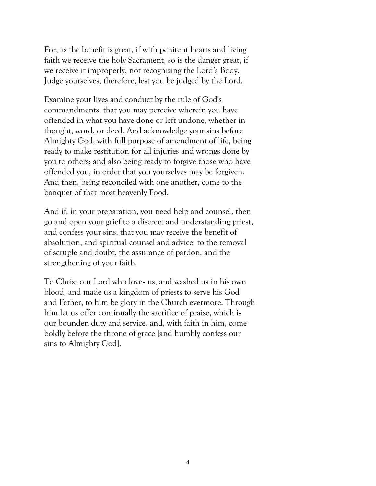For, as the benefit is great, if with penitent hearts and living faith we receive the holy Sacrament, so is the danger great, if we receive it improperly, not recognizing the Lord's Body. Judge yourselves, therefore, lest you be judged by the Lord.

Examine your lives and conduct by the rule of God's commandments, that you may perceive wherein you have offended in what you have done or left undone, whether in thought, word, or deed. And acknowledge your sins before Almighty God, with full purpose of amendment of life, being ready to make restitution for all injuries and wrongs done by you to others; and also being ready to forgive those who have offended you, in order that you yourselves may be forgiven. And then, being reconciled with one another, come to the banquet of that most heavenly Food.

And if, in your preparation, you need help and counsel, then go and open your grief to a discreet and understanding priest, and confess your sins, that you may receive the benefit of absolution, and spiritual counsel and advice; to the removal of scruple and doubt, the assurance of pardon, and the strengthening of your faith.

To Christ our Lord who loves us, and washed us in his own blood, and made us a kingdom of priests to serve his God and Father, to him be glory in the Church evermore. Through him let us offer continually the sacrifice of praise, which is our bounden duty and service, and, with faith in him, come boldly before the throne of grace [and humbly confess our sins to Almighty God].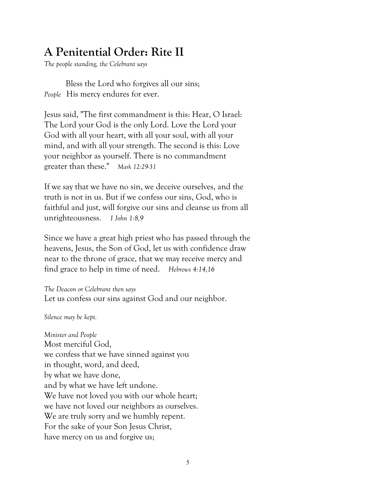## **A Penitential Order: Rite II**

*The people standing, the Celebrant says*

 Bless the Lord who forgives all our sins; *People* His mercy endures for ever.

Jesus said, "The first commandment is this: Hear, O Israel: The Lord your God is the only Lord. Love the Lord your God with all your heart, with all your soul, with all your mind, and with all your strength. The second is this: Love your neighbor as yourself. There is no commandment greater than these." *Mark 12:29-31*

If we say that we have no sin, we deceive ourselves, and the truth is not in us. But if we confess our sins, God, who is faithful and just, will forgive our sins and cleanse us from all unrighteousness. *1 John 1:8,9*

Since we have a great high priest who has passed through the heavens, Jesus, the Son of God, let us with confidence draw near to the throne of grace, that we may receive mercy and find grace to help in time of need. *Hebrews 4:14,16*

*The Deacon or Celebrant then says* Let us confess our sins against God and our neighbor.

*Silence may be kept.*

*Minister and People* Most merciful God, we confess that we have sinned against you in thought, word, and deed, by what we have done, and by what we have left undone. We have not loved you with our whole heart; we have not loved our neighbors as ourselves. We are truly sorry and we humbly repent. For the sake of your Son Jesus Christ, have mercy on us and forgive us;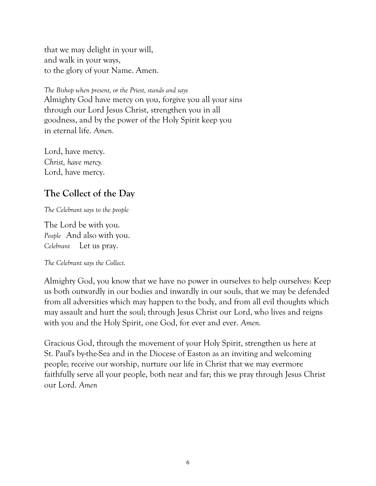that we may delight in your will, and walk in your ways, to the glory of your Name. Amen.

*The Bishop when present, or the Priest, stands and says* Almighty God have mercy on you, forgive you all your sins through our Lord Jesus Christ, strengthen you in all goodness, and by the power of the Holy Spirit keep you in eternal life. *Amen.*

Lord, have mercy. *Christ, have mercy.* Lord, have mercy.

### **The Collect of the Day**

*The Celebrant says to the people*

The Lord be with you. *People* And also with you. *Celebrant* Let us pray.

*The Celebrant says the Collect.*

Almighty God, you know that we have no power in ourselves to help ourselves: Keep us both outwardly in our bodies and inwardly in our souls, that we may be defended from all adversities which may happen to the body, and from all evil thoughts which may assault and hurt the soul; through Jesus Christ our Lord, who lives and reigns with you and the Holy Spirit, one God, for ever and ever. *Amen.*

Gracious God, through the movement of your Holy Spirit, strengthen us here at St. Paul's by-the-Sea and in the Diocese of Easton as an inviting and welcoming people; receive our worship, nurture our life in Christ that we may evermore faithfully serve all your people, both near and far; this we pray through Jesus Christ our Lord. *Amen*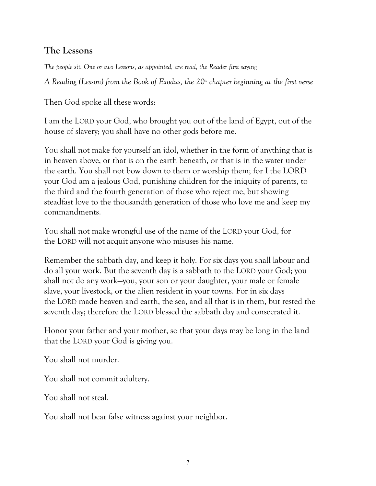### **The Lessons**

*The people sit. One or two Lessons, as appointed, are read, the Reader first saying*

*A Reading (Lesson) from the Book of Exodus, the 20th chapter beginning at the first verse*

Then God spoke all these words:

I am the LORD your God, who brought you out of the land of Egypt, out of the house of slavery; you shall have no other gods before me.

You shall not make for yourself an idol, whether in the form of anything that is in heaven above, or that is on the earth beneath, or that is in the water under the earth. You shall not bow down to them or worship them; for I the LORD your God am a jealous God, punishing children for the iniquity of parents, to the third and the fourth generation of those who reject me, but showing steadfast love to the thousandth generation of those who love me and keep my commandments.

You shall not make wrongful use of the name of the LORD your God, for the LORD will not acquit anyone who misuses his name.

Remember the sabbath day, and keep it holy. For six days you shall labour and do all your work. But the seventh day is a sabbath to the LORD your God; you shall not do any work—you, your son or your daughter, your male or female slave, your livestock, or the alien resident in your towns. For in six days the LORD made heaven and earth, the sea, and all that is in them, but rested the seventh day; therefore the LORD blessed the sabbath day and consecrated it.

Honor your father and your mother, so that your days may be long in the land that the LORD your God is giving you.

You shall not murder.

You shall not commit adultery.

You shall not steal.

You shall not bear false witness against your neighbor.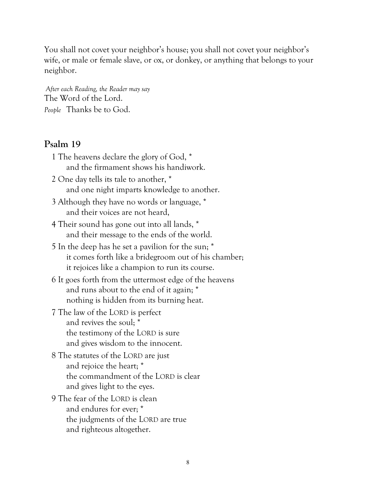You shall not covet your neighbor's house; you shall not covet your neighbor's wife, or male or female slave, or ox, or donkey, or anything that belongs to your neighbor.

*After each Reading, the Reader may say* The Word of the Lord. *People* Thanks be to God.

#### **Psalm 19**

- 1 The heavens declare the glory of God, \* and the firmament shows his handiwork.
- 2 One day tells its tale to another, \* and one night imparts knowledge to another.
- 3 Although they have no words or language, \* and their voices are not heard,
- 4 Their sound has gone out into all lands, \* and their message to the ends of the world.
- 5 In the deep has he set a pavilion for the sun; \* it comes forth like a bridegroom out of his chamber; it rejoices like a champion to run its course.
- 6 It goes forth from the uttermost edge of the heavens and runs about to the end of it again; \* nothing is hidden from its burning heat.
- 7 The law of the LORD is perfect and revives the soul; \* the testimony of the LORD is sure and gives wisdom to the innocent.
- 8 The statutes of the LORD are just and rejoice the heart; \* the commandment of the LORD is clear and gives light to the eyes.
- 9 The fear of the LORD is clean and endures for ever; \* the judgments of the LORD are true and righteous altogether.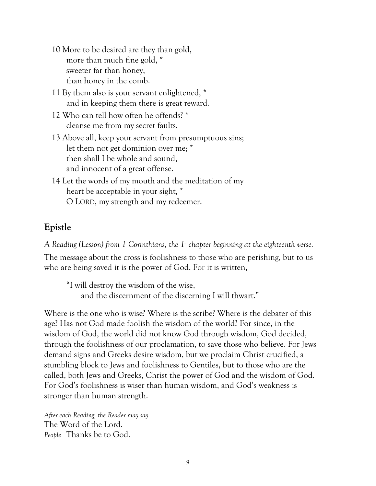- 10 More to be desired are they than gold, more than much fine gold, \* sweeter far than honey, than honey in the comb.
- 11 By them also is your servant enlightened, \* and in keeping them there is great reward.
- 12 Who can tell how often he offends? \* cleanse me from my secret faults.
- 13 Above all, keep your servant from presumptuous sins; let them not get dominion over me; \* then shall I be whole and sound, and innocent of a great offense.
- 14 Let the words of my mouth and the meditation of my heart be acceptable in your sight, \* O LORD, my strength and my redeemer.

### **Epistle**

*A Reading (Lesson) from 1 Corinthians, the 1 st chapter beginning at the eighteenth verse.* The message about the cross is foolishness to those who are perishing, but to us who are being saved it is the power of God. For it is written,

"I will destroy the wisdom of the wise, and the discernment of the discerning I will thwart."

Where is the one who is wise? Where is the scribe? Where is the debater of this age? Has not God made foolish the wisdom of the world? For since, in the wisdom of God, the world did not know God through wisdom, God decided, through the foolishness of our proclamation, to save those who believe. For Jews demand signs and Greeks desire wisdom, but we proclaim Christ crucified, a stumbling block to Jews and foolishness to Gentiles, but to those who are the called, both Jews and Greeks, Christ the power of God and the wisdom of God. For God's foolishness is wiser than human wisdom, and God's weakness is stronger than human strength.

*After each Reading, the Reader may say* The Word of the Lord. *People* Thanks be to God.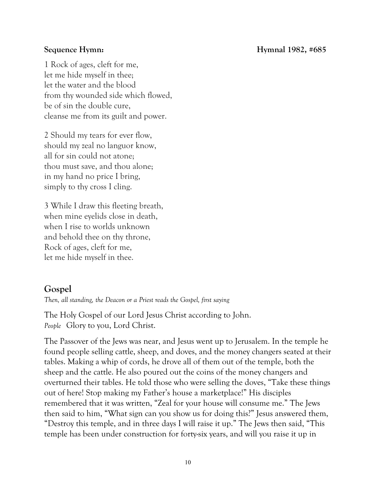#### **Sequence Hymn: Hymnal 1982, #685**

1 Rock of ages, cleft for me, let me hide myself in thee; let the water and the blood from thy wounded side which flowed, be of sin the double cure, cleanse me from its guilt and power.

2 Should my tears for ever flow, should my zeal no languor know, all for sin could not atone; thou must save, and thou alone; in my hand no price I bring, simply to thy cross I cling.

3 While I draw this fleeting breath, when mine eyelids close in death, when I rise to worlds unknown and behold thee on thy throne, Rock of ages, cleft for me, let me hide myself in thee.

#### **Gospel**

*Then, all standing, the Deacon or a Priest reads the Gospel, first saying*

The Holy Gospel of our Lord Jesus Christ according to John. *People* Glory to you, Lord Christ.

The Passover of the Jews was near, and Jesus went up to Jerusalem. In the temple he found people selling cattle, sheep, and doves, and the money changers seated at their tables. Making a whip of cords, he drove all of them out of the temple, both the sheep and the cattle. He also poured out the coins of the money changers and overturned their tables. He told those who were selling the doves, "Take these things out of here! Stop making my Father's house a marketplace!" His disciples remembered that it was written, "Zeal for your house will consume me." The Jews then said to him, "What sign can you show us for doing this?" Jesus answered them, "Destroy this temple, and in three days I will raise it up." The Jews then said, "This temple has been under construction for forty-six years, and will you raise it up in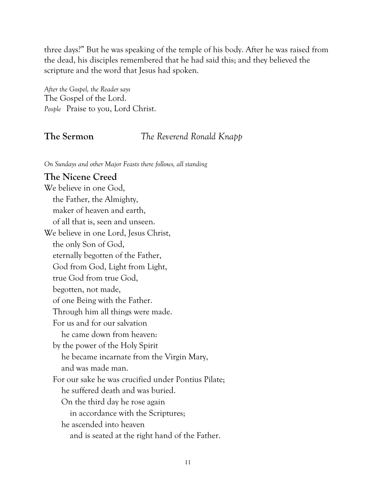three days?" But he was speaking of the temple of his body. After he was raised from the dead, his disciples remembered that he had said this; and they believed the scripture and the word that Jesus had spoken.

*After the Gospel, the Reader says* The Gospel of the Lord. *People* Praise to you, Lord Christ.

**The Sermon** *The Reverend Ronald Knapp*

*On Sundays and other Major Feasts there follows, all standing*

#### **The Nicene Creed**

We believe in one God, the Father, the Almighty, maker of heaven and earth, of all that is, seen and unseen. We believe in one Lord, Jesus Christ, the only Son of God, eternally begotten of the Father, God from God, Light from Light, true God from true God, begotten, not made, of one Being with the Father. Through him all things were made. For us and for our salvation he came down from heaven: by the power of the Holy Spirit he became incarnate from the Virgin Mary, and was made man. For our sake he was crucified under Pontius Pilate; he suffered death and was buried. On the third day he rose again in accordance with the Scriptures; he ascended into heaven and is seated at the right hand of the Father.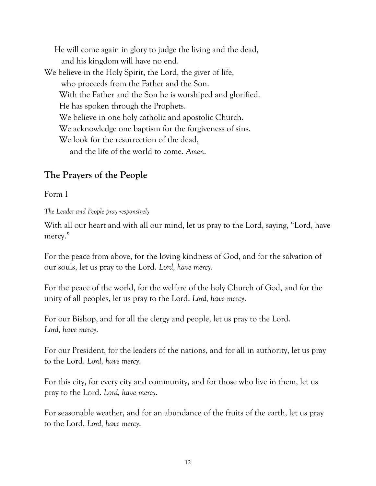He will come again in glory to judge the living and the dead, and his kingdom will have no end. We believe in the Holy Spirit, the Lord, the giver of life, who proceeds from the Father and the Son. With the Father and the Son he is worshiped and glorified. He has spoken through the Prophets. We believe in one holy catholic and apostolic Church. We acknowledge one baptism for the forgiveness of sins. We look for the resurrection of the dead,

and the life of the world to come. *Amen*.

### **The Prayers of the People**

Form I

*The Leader and People pray responsively* 

With all our heart and with all our mind, let us pray to the Lord, saying, "Lord, have mercy."

For the peace from above, for the loving kindness of God, and for the salvation of our souls, let us pray to the Lord. *Lord, have mercy*.

For the peace of the world, for the welfare of the holy Church of God, and for the unity of all peoples, let us pray to the Lord. *Lord, have mercy*.

For our Bishop, and for all the clergy and people, let us pray to the Lord. *Lord, have mercy*.

For our President, for the leaders of the nations, and for all in authority, let us pray to the Lord. *Lord, have mercy*.

For this city, for every city and community, and for those who live in them, let us pray to the Lord. *Lord, have mercy*.

For seasonable weather, and for an abundance of the fruits of the earth, let us pray to the Lord. *Lord, have mercy*.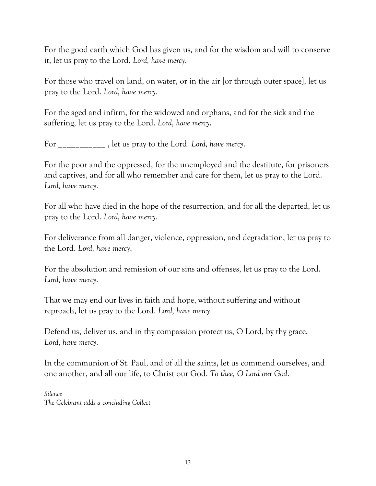For the good earth which God has given us, and for the wisdom and will to conserve it, let us pray to the Lord. *Lord, have mercy*.

For those who travel on land, on water, or in the air [or through outer space], let us pray to the Lord. *Lord, have mercy*.

For the aged and infirm, for the widowed and orphans, and for the sick and the suffering, let us pray to the Lord. *Lord, have mercy*.

For \_\_\_\_\_\_\_\_\_\_\_ , let us pray to the Lord. *Lord, have mercy*.

For the poor and the oppressed, for the unemployed and the destitute, for prisoners and captives, and for all who remember and care for them, let us pray to the Lord. *Lord, have mercy*.

For all who have died in the hope of the resurrection, and for all the departed, let us pray to the Lord. *Lord, have mercy*.

For deliverance from all danger, violence, oppression, and degradation, let us pray to the Lord. *Lord, have mercy*.

For the absolution and remission of our sins and offenses, let us pray to the Lord. *Lord, have mercy*.

That we may end our lives in faith and hope, without suffering and without reproach, let us pray to the Lord. *Lord, have mercy*.

Defend us, deliver us, and in thy compassion protect us, O Lord, by thy grace. *Lord, have mercy*.

In the communion of St. Paul, and of all the saints, let us commend ourselves, and one another, and all our life, to Christ our God. *To thee, O Lord our God*.

*Silence The Celebrant adds a concluding Collect*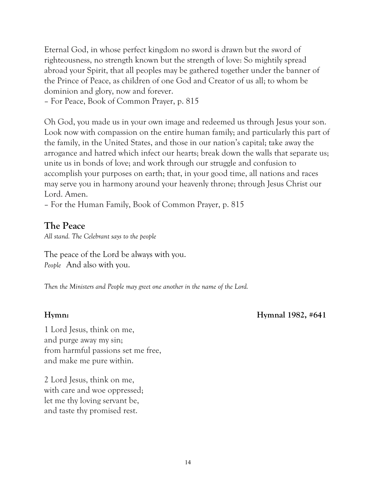Eternal God, in whose perfect kingdom no sword is drawn but the sword of righteousness, no strength known but the strength of love: So mightily spread abroad your Spirit, that all peoples may be gathered together under the banner of the Prince of Peace, as children of one God and Creator of us all; to whom be dominion and glory, now and forever.

– For Peace, Book of Common Prayer, p. 815

Oh God, you made us in your own image and redeemed us through Jesus your son. Look now with compassion on the entire human family; and particularly this part of the family, in the United States, and those in our nation's capital; take away the arrogance and hatred which infect our hearts; break down the walls that separate us; unite us in bonds of love; and work through our struggle and confusion to accomplish your purposes on earth; that, in your good time, all nations and races may serve you in harmony around your heavenly throne; through Jesus Christ our Lord. Amen.

– For the Human Family, Book of Common Prayer, p. 815

#### **The Peace**

*All stand. The Celebrant says to the people*

The peace of the Lord be always with you. *People* And also with you.

*Then the Ministers and People may greet one another in the name of the Lord.*

**Hymn: Hymnal 1982, #641**

1 Lord Jesus, think on me, and purge away my sin; from harmful passions set me free, and make me pure within.

2 Lord Jesus, think on me, with care and woe oppressed; let me thy loving servant be, and taste thy promised rest.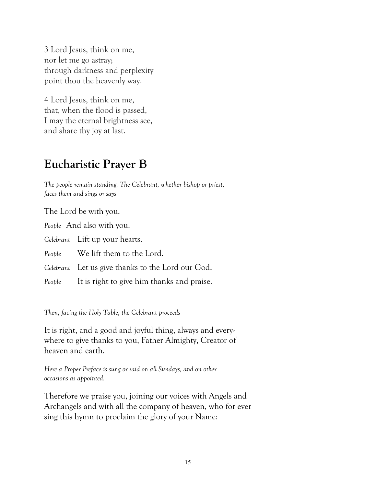3 Lord Jesus, think on me, nor let me go astray; through darkness and perplexity point thou the heavenly way.

4 Lord Jesus, think on me, that, when the flood is passed, I may the eternal brightness see, and share thy joy at last.

## **Eucharistic Prayer B**

*The people remain standing. The Celebrant, whether bishop or priest, faces them and sings or says*

The Lord be with you.

*People* And also with you.

*Celebrant* Lift up your hearts.

*People* We lift them to the Lord.

*Celebrant* Let us give thanks to the Lord our God.

*People* It is right to give him thanks and praise.

*Then, facing the Holy Table, the Celebrant proceeds*

It is right, and a good and joyful thing, always and everywhere to give thanks to you, Father Almighty, Creator of heaven and earth.

*Here a Proper Preface is sung or said on all Sundays, and on other occasions as appointed.*

Therefore we praise you, joining our voices with Angels and Archangels and with all the company of heaven, who for ever sing this hymn to proclaim the glory of your Name: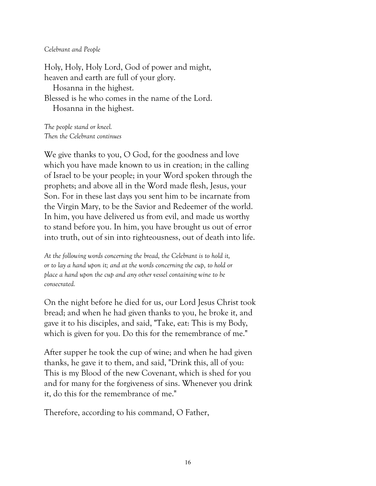#### *Celebrant and People*

Holy, Holy, Holy Lord, God of power and might, heaven and earth are full of your glory. Hosanna in the highest. Blessed is he who comes in the name of the Lord. Hosanna in the highest.

*The people stand or kneel. Then the Celebrant continues*

We give thanks to you, O God, for the goodness and love which you have made known to us in creation; in the calling of Israel to be your people; in your Word spoken through the prophets; and above all in the Word made flesh, Jesus, your Son. For in these last days you sent him to be incarnate from the Virgin Mary, to be the Savior and Redeemer of the world. In him, you have delivered us from evil, and made us worthy to stand before you. In him, you have brought us out of error into truth, out of sin into righteousness, out of death into life.

*At the following words concerning the bread, the Celebrant is to hold it, or to lay a hand upon it; and at the words concerning the cup, to hold or place a hand upon the cup and any other vessel containing wine to be consecrated.*

On the night before he died for us, our Lord Jesus Christ took bread; and when he had given thanks to you, he broke it, and gave it to his disciples, and said, "Take, eat: This is my Body, which is given for you. Do this for the remembrance of me."

After supper he took the cup of wine; and when he had given thanks, he gave it to them, and said, "Drink this, all of you: This is my Blood of the new Covenant, which is shed for you and for many for the forgiveness of sins. Whenever you drink it, do this for the remembrance of me."

Therefore, according to his command, O Father,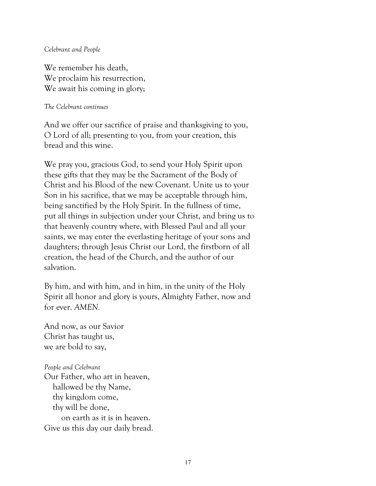*Celebrant and People*

We remember his death, We proclaim his resurrection, We await his coming in glory;

#### *The Celebrant continues*

And we offer our sacrifice of praise and thanksgiving to you, O Lord of all; presenting to you, from your creation, this bread and this wine.

We pray you, gracious God, to send your Holy Spirit upon these gifts that they may be the Sacrament of the Body of Christ and his Blood of the new Covenant. Unite us to your Son in his sacrifice, that we may be acceptable through him, being sanctified by the Holy Spirit. In the fullness of time, put all things in subjection under your Christ, and bring us to that heavenly country where, with Blessed Paul and all your saints, we may enter the everlasting heritage of your sons and daughters; through Jesus Christ our Lord, the firstborn of all creation, the head of the Church, and the author of our salvation.

By him, and with him, and in him, in the unity of the Holy Spirit all honor and glory is yours, Almighty Father, now and for ever. *AMEN.*

And now, as our Savior Christ has taught us, we are bold to say,

*People and Celebrant* Our Father, who art in heaven, hallowed be thy Name, thy kingdom come, thy will be done, on earth as it is in heaven. Give us this day our daily bread.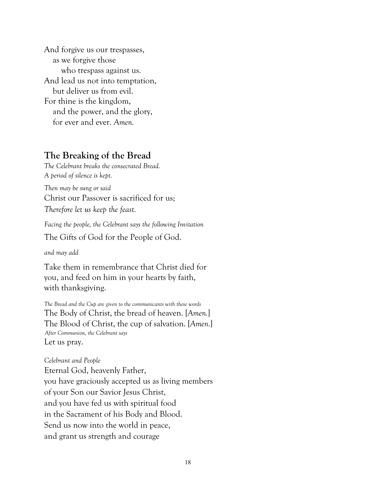And forgive us our trespasses, as we forgive those who trespass against us. And lead us not into temptation, but deliver us from evil. For thine is the kingdom, and the power, and the glory, for ever and ever. *Amen.*

#### **The Breaking of the Bread**

*The Celebrant breaks the consecrated Bread. A period of silence is kept.*

*Then may be sung or said* Christ our Passover is sacrificed for us; *Therefore let us keep the feast.*

*Facing the people, the Celebrant says the following Invitation*

The Gifts of God for the People of God.

*and may add*

Take them in remembrance that Christ died for you, and feed on him in your hearts by faith, with thanksgiving.

*The Bread and the Cup are given to the communicants with these words* The Body of Christ, the bread of heaven. [*Amen.*] The Blood of Christ, the cup of salvation. [*Amen.*] *After Communion, the Celebrant says* Let us pray.

#### *Celebrant and People*

Eternal God, heavenly Father, you have graciously accepted us as living members of your Son our Savior Jesus Christ, and you have fed us with spiritual food in the Sacrament of his Body and Blood. Send us now into the world in peace, and grant us strength and courage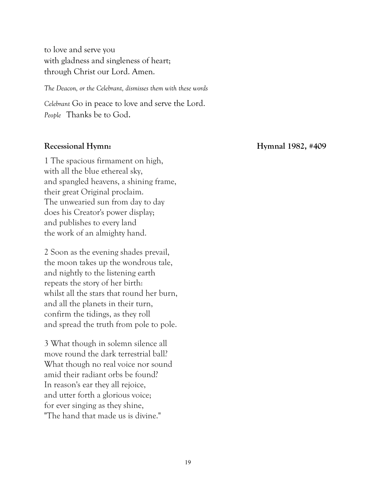to love and serve you with gladness and singleness of heart; through Christ our Lord. Amen.

*The Deacon, or the Celebrant, dismisses them with these words*

*Celebrant* Go in peace to love and serve the Lord. *People* Thanks be to God.

1 The spacious firmament on high, with all the blue ethereal sky, and spangled heavens, a shining frame, their great Original proclaim. The unwearied sun from day to day does his Creator's power display; and publishes to every land the work of an almighty hand.

2 Soon as the evening shades prevail, the moon takes up the wondrous tale, and nightly to the listening earth repeats the story of her birth: whilst all the stars that round her burn, and all the planets in their turn, confirm the tidings, as they roll and spread the truth from pole to pole.

3 What though in solemn silence all move round the dark terrestrial ball? What though no real voice nor sound amid their radiant orbs be found? In reason's ear they all rejoice, and utter forth a glorious voice; for ever singing as they shine, "The hand that made us is divine."

**Recessional Hymn: Hymnal 1982, #409**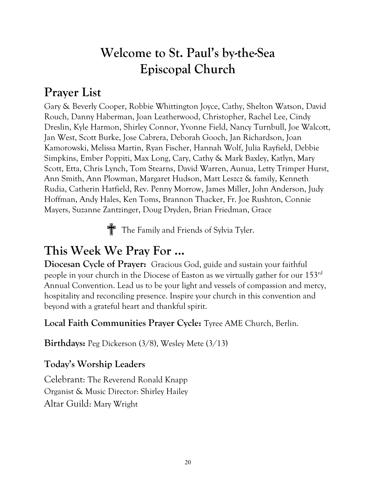## **Welcome to St. Paul's by-the-Sea Episcopal Church**

## **Prayer List**

Gary & Beverly Cooper, Robbie Whittington Joyce, Cathy, Shelton Watson, David Rouch, Danny Haberman, Joan Leatherwood, Christopher, Rachel Lee, Cindy Dreslin, Kyle Harmon, Shirley Connor, Yvonne Field, Nancy Turnbull, Joe Walcott, Jan West, Scott Burke, Jose Cabrera, Deborah Gooch, Jan Richardson, Joan Kamorowski, Melissa Martin, Ryan Fischer, Hannah Wolf, Julia Rayfield, Debbie Simpkins, Ember Poppiti, Max Long, Cary, Cathy & Mark Baxley, Katlyn, Mary Scott, Etta, Chris Lynch, Tom Stearns, David Warren, Aunua, Letty Trimper Hurst, Ann Smith, Ann Plowman, Margaret Hudson, Matt Leszcz & family, Kenneth Rudia, Catherin Hatfield, Rev. Penny Morrow, James Miller, John Anderson, Judy Hoffman, Andy Hales, Ken Toms, Brannon Thacker, Fr. Joe Rushton, Connie Mayers, Suzanne Zantzinger, Doug Dryden, Brian Friedman, Grace

The Family and Friends of Sylvia Tyler.

## **This Week We Pray For ...**

**Diocesan Cycle of Prayer:** Gracious God, guide and sustain your faithful people in your church in the Diocese of Easton as we virtually gather for our 153rd Annual Convention. Lead us to be your light and vessels of compassion and mercy, hospitality and reconciling presence. Inspire your church in this convention and beyond with a grateful heart and thankful spirit.

**Local Faith Communities Prayer Cycle:** Tyree AME Church, Berlin.

**Birthdays:** Peg Dickerson (3/8), Wesley Mete (3/13)

### **Today's Worship Leaders**

Celebrant: The Reverend Ronald Knapp Organist & Music Director: Shirley Hailey Altar Guild: Mary Wright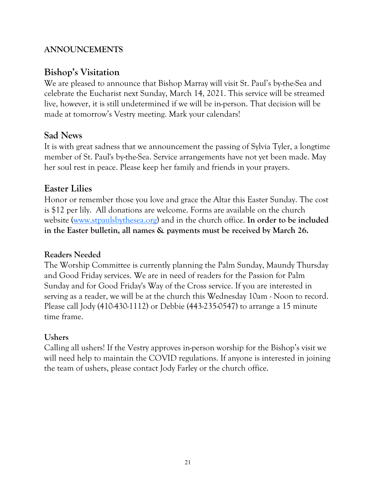#### **ANNOUNCEMENTS**

#### **Bishop's Visitation**

We are pleased to announce that Bishop Marray will visit St. Paul's by-the-Sea and celebrate the Eucharist next Sunday, March 14, 2021. This service will be streamed live, however, it is still undetermined if we will be in-person. That decision will be made at tomorrow's Vestry meeting. Mark your calendars!

#### **Sad News**

It is with great sadness that we announcement the passing of Sylvia Tyler, a longtime member of St. Paul's by-the-Sea. Service arrangements have not yet been made. May her soul rest in peace. Please keep her family and friends in your prayers.

#### **Easter Lilies**

Honor or remember those you love and grace the Altar this Easter Sunday. The cost is \$12 per lily. All donations are welcome. Forms are available on the church website [\(www.stpaulsbythesea.org\)](http://www.stpaulsbythesea.org/) and in the church office. **In order to be included in the Easter bulletin, all names & payments must be received by March 26.**

#### **Readers Needed**

The Worship Committee is currently planning the Palm Sunday, Maundy Thursday and Good Friday services. We are in need of readers for the Passion for Palm Sunday and for Good Friday's Way of the Cross service. If you are interested in serving as a reader, we will be at the church this Wednesday 10am - Noon to record. Please call Jody (410-430-1112) or Debbie (443-235-0547) to arrange a 15 minute time frame.

#### **Ushers**

Calling all ushers! If the Vestry approves in-person worship for the Bishop's visit we will need help to maintain the COVID regulations. If anyone is interested in joining the team of ushers, please contact Jody Farley or the church office.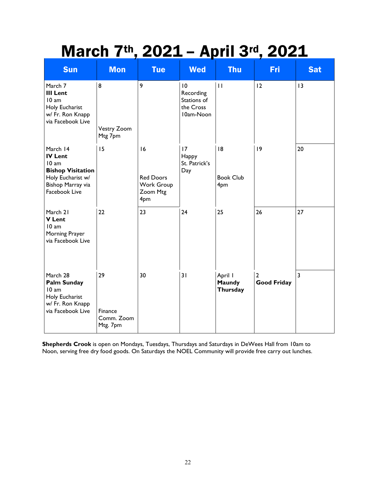## March 7th, 2021 – April 3rd, 2021

| <b>Sun</b>                                                                                                                 | <b>Mon</b>                              | <b>Tue</b>                                              | <b>Wed</b>                                               | <b>Thu</b>                    | Fri                     | <b>Sat</b>     |
|----------------------------------------------------------------------------------------------------------------------------|-----------------------------------------|---------------------------------------------------------|----------------------------------------------------------|-------------------------------|-------------------------|----------------|
| March 7<br><b>III Lent</b><br>10 <sub>am</sub><br>Holy Eucharist<br>w/ Fr. Ron Knapp<br>via Facebook Live                  | 8<br>Vestry Zoom<br>Mtg 7pm             | 9                                                       | 10<br>Recording<br>Stations of<br>the Cross<br>10am-Noon | $\mathbf{H}$                  | 12                      | 13             |
| March 14<br><b>IV Lent</b><br>10 am<br><b>Bishop Visitation</b><br>Holy Eucharist w/<br>Bishop Marray via<br>Facebook Live | 15                                      | 16<br><b>Red Doors</b><br>Work Group<br>Zoom Mtg<br>4pm | 17<br>Happy<br>St. Patrick's<br>Day                      | 8<br><b>Book Club</b><br>4pm  | 9                       | 20             |
| March 21<br><b>V</b> Lent<br>10 am<br>Morning Prayer<br>via Facebook Live                                                  | 22                                      | 23                                                      | 24                                                       | 25                            | 26                      | 27             |
| March 28<br><b>Palm Sunday</b><br>10 am<br>Holy Eucharist<br>w/ Fr. Ron Knapp<br>via Facebook Live                         | 29<br>Finance<br>Comm. Zoom<br>Mtg. 7pm | 30                                                      | 31                                                       | April I<br>Maundy<br>Thursday | 2<br><b>Good Friday</b> | $\overline{3}$ |

**Shepherds Crook** is open on Mondays, Tuesdays, Thursdays and Saturdays in DeWees Hall from 10am to Noon, serving free dry food goods. On Saturdays the NOEL Community will provide free carry out lunches.